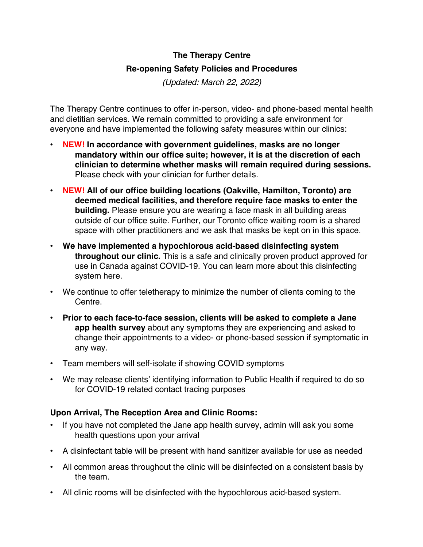## **The Therapy Centre Re-opening Safety Policies and Procedures**

*(Updated: March 22, 2022)*

The Therapy Centre continues to offer in-person, video- and phone-based mental health and dietitian services. We remain committed to providing a safe environment for everyone and have implemented the following safety measures within our clinics:

- ! **NEW! In accordance with government guidelines, masks are no longer mandatory within our office suite; however, it is at the discretion of each clinician to determine whether masks will remain required during sessions.** Please check with your clinician for further details.
- ! **NEW! All of our office building locations (Oakville, Hamilton, Toronto) are deemed medical facilities, and therefore require face masks to enter the building.** Please ensure you are wearing a face mask in all building areas outside of our office suite. Further, our Toronto office waiting room is a shared space with other practitioners and we ask that masks be kept on in this space.
- ! **We have implemented a hypochlorous acid-based disinfecting system throughout our clinic.** This is a safe and clinically proven product approved for use in Canada against COVID-19. You can learn more about this disinfecting system here.
- ! We continue to offer teletherapy to minimize the number of clients coming to the **Centre**
- ! **Prior to each face-to-face session, clients will be asked to complete a Jane app health survey** about any symptoms they are experiencing and asked to change their appointments to a video- or phone-based session if symptomatic in any way.
- Team members will self-isolate if showing COVID symptoms
- We may release clients' identifying information to Public Health if required to do so for COVID-19 related contact tracing purposes

## **Upon Arrival, The Reception Area and Clinic Rooms:**

- If you have not completed the Jane app health survey, admin will ask you some health questions upon your arrival
- A disinfectant table will be present with hand sanitizer available for use as needed
- All common areas throughout the clinic will be disinfected on a consistent basis by the team.
- ! All clinic rooms will be disinfected with the hypochlorous acid-based system.